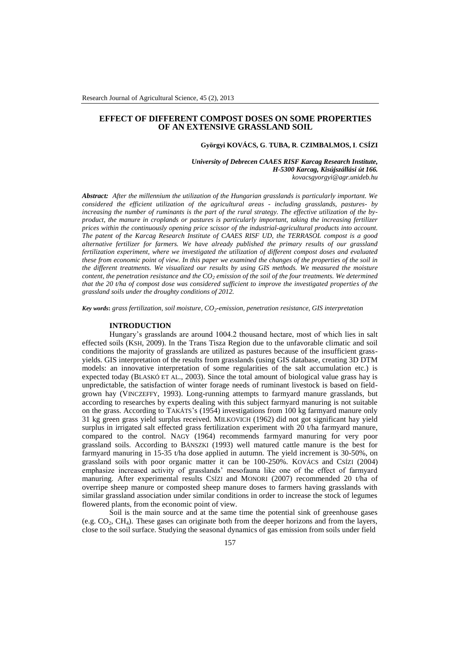# **EFFECT OF DIFFERENT COMPOST DOSES ON SOME PROPERTIES OF AN EXTENSIVE GRASSLAND SOIL**

#### **Györgyi KOVÁCS, G**. **TUBA, R**. **CZIMBALMOS, I**. **CSÍZI**

*University of Debrecen CAAES RISF Karcag Research Institute, H-5300 Karcag, Kisújszállási út 166. kovacsgyorgyi@agr.unideb.hu*

*Abstract: After the millennium the utilization of the Hungarian grasslands is particularly important. We considered the efficient utilization of the agricultural areas - including grasslands, pastures- by increasing the number of ruminants is the part of the rural strategy. The effective utilization of the byproduct, the manure in croplands or pastures is particularly important, taking the increasing fertilizer prices within the continuously opening price scissor of the industrial-agricultural products into account. The patent of the Karcag Research Institute of CAAES RISF UD, the TERRASOL compost is a good alternative fertilizer for farmers. We have already published the primary results of our grassland fertilization experiment, where we investigated the utilization of different compost doses and evaluated these from economic point of view. In this paper we examined the changes of the properties of the soil in the different treatments. We visualized our results by using GIS methods. We measured the moisture content, the penetration resistance and the CO<sup>2</sup> emission of the soil of the four treatments. We determined that the 20 t/ha of compost dose was considered sufficient to improve the investigated properties of the grassland soils under the droughty conditions of 2012.*

*Key words***:** *grass fertilization, soil moisture, CO<sup>2</sup> -emission, penetration resistance, GIS interpretation*

## **INTRODUCTION**

Hungary's grasslands are around 1004.2 thousand hectare, most of which lies in salt effected soils (KSH, 2009). In the Trans Tisza Region due to the unfavorable climatic and soil conditions the majority of grasslands are utilized as pastures because of the insufficient grassyields. GIS interpretation of the results from grasslands (using GIS database, creating 3D DTM models: an innovative interpretation of some regularities of the salt accumulation etc.) is expected today (BLASKÓ ET AL., 2003). Since the total amount of biological value grass hay is unpredictable, the satisfaction of winter forage needs of ruminant livestock is based on fieldgrown hay (VINCZEFFY, 1993). Long-running attempts to farmyard manure grasslands, but according to researches by experts dealing with this subject farmyard manuring is not suitable on the grass. According to TAKÁTS's (1954) investigations from 100 kg farmyard manure only 31 kg green grass yield surplus received. MILKOVICH (1962) did not got significant hay yield surplus in irrigated salt effected grass fertilization experiment with 20 t/ha farmyard manure, compared to the control. NAGY (1964) recommends farmyard manuring for very poor grassland soils. According to BÁNSZKI (1993) well matured cattle manure is the best for farmyard manuring in 15-35 t/ha dose applied in autumn. The yield increment is 30-50%, on grassland soils with poor organic matter it can be 100-250%. KOVÁCS and CSÍZI (2004) emphasize increased activity of grasslands' mesofauna like one of the effect of farmyard manuring. After experimental results CSÍZI and MONORI (2007) recommended 20 t/ha of overripe sheep manure or composted sheep manure doses to farmers having grasslands with similar grassland association under similar conditions in order to increase the stock of legumes flowered plants, from the economic point of view.

Soil is the main source and at the same time the potential sink of greenhouse gases (e.g.  $CO<sub>2</sub>$ ,  $CH<sub>4</sub>$ ). These gases can originate both from the deeper horizons and from the layers, close to the soil surface. Studying the seasonal dynamics of gas emission from soils under field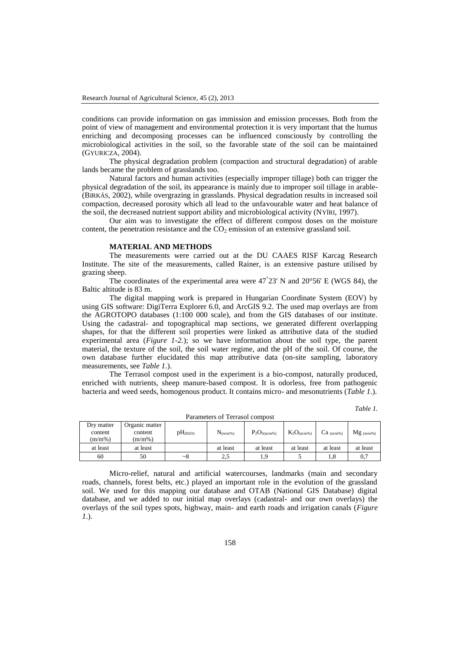conditions can provide information on gas immission and emission processes. Both from the point of view of management and environmental protection it is very important that the humus enriching and decomposing processes can be influenced consciously by controlling the microbiological activities in the soil, so the favorable state of the soil can be maintained (GYURICZA, 2004).

The physical degradation problem (compaction and structural degradation) of arable lands became the problem of grasslands too.

Natural factors and human activities (especially improper tillage) both can trigger the physical degradation of the soil, its appearance is mainly due to improper soil tillage in arable- (BIRKÁS, 2002), while overgrazing in grasslands. Physical degradation results in increased soil compaction, decreased porosity which all lead to the unfavourable water and heat balance of the soil, the decreased nutrient support ability and microbiological activity (NYÍRI, 1997).

Our aim was to investigate the effect of different compost doses on the moisture content, the penetration resistance and the  $CO<sub>2</sub>$  emission of an extensive grassland soil.

### **MATERIAL AND METHODS**

The measurements were carried out at the DU CAAES RISF Karcag Research Institute. The site of the measurements, called Rainer, is an extensive pasture utilised by grazing sheep.

The coordinates of the experimental area were  $47^{\circ}23'$  N and  $20^{\circ}56'$  E (WGS 84), the Baltic altitude is 83 m.

The digital mapping work is prepared in Hungarian Coordinate System (EOV) by using GIS software: DigiTerra Explorer 6.0, and ArcGIS 9.2. The used map overlays are from the AGROTOPO databases (1:100 000 scale), and from the GIS databases of our institute. Using the cadastral- and topographical map sections, we generated different overlapping shapes, for that the different soil properties were linked as attributive data of the studied experimental area (*Figure 1-2.*); so we have information about the soil type, the parent material, the texture of the soil, the soil water regime, and the pH of the soil. Of course, the own database further elucidated this map attributive data (on-site sampling, laboratory measurements, see *Table 1*.).

The Terrasol compost used in the experiment is a bio-compost, naturally produced, enriched with nutrients, sheep manure-based compost. It is odorless, free from pathogenic bacteria and weed seeds, homogenous product. It contains micro- and mesonutrients (*Table 1*.).

*Table 1.*

| Dry matter<br>content<br>(m/m%) | Organic matter<br>content<br>(m/m%) | pH <sub>(H2O)</sub> | $N_{(m/m%)}$ | $P_2O_{5(m/m%)}$ | $K_2O_{(m/m%)}$ | $Ca_{(m/m%)}$ | $Mg_{(m/m%)}$ |  |  |
|---------------------------------|-------------------------------------|---------------------|--------------|------------------|-----------------|---------------|---------------|--|--|
| at least                        | at least                            |                     | at least     | at least         | at least        | at least      | at least      |  |  |
| 60                              | 50                                  | ~28                 | 2.5          | $^{\circ}$       |                 | 1.8           | 0,7           |  |  |

Parameters of Terrasol compost

Micro-relief, natural and artificial watercourses, landmarks (main and secondary roads, channels, forest belts, etc.) played an important role in the evolution of the grassland soil. We used for this mapping our database and OTAB (National GIS Database) digital database, and we added to our initial map overlays (cadastral- and our own overlays) the overlays of the soil types spots, highway, main- and earth roads and irrigation canals (*Figure 1*.).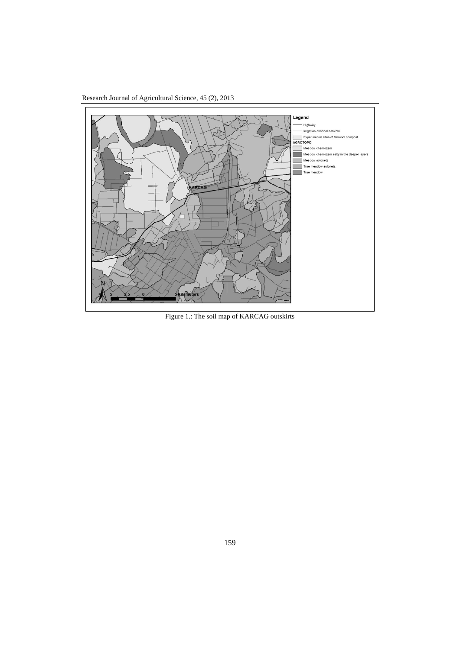Research Journal of Agricultural Science, 45 (2), 2013



Figure 1.: The soil map of KARCAG outskirts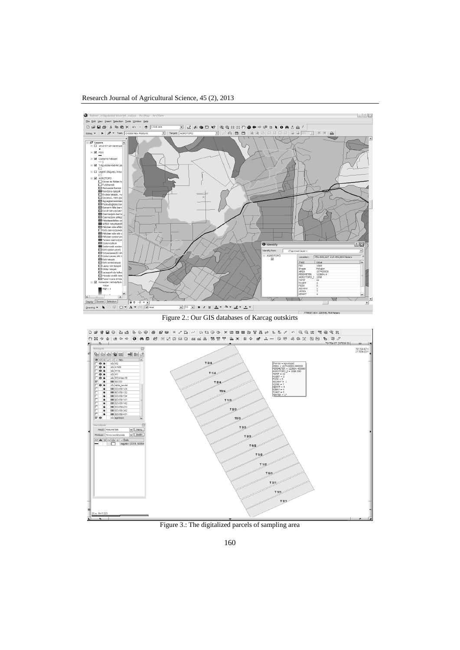# Research Journal of Agricultural Science, 45 (2), 2013



Figure 2.: Our GIS databases of Karcag outskirts



Figure 3.: The digitalized parcels of sampling area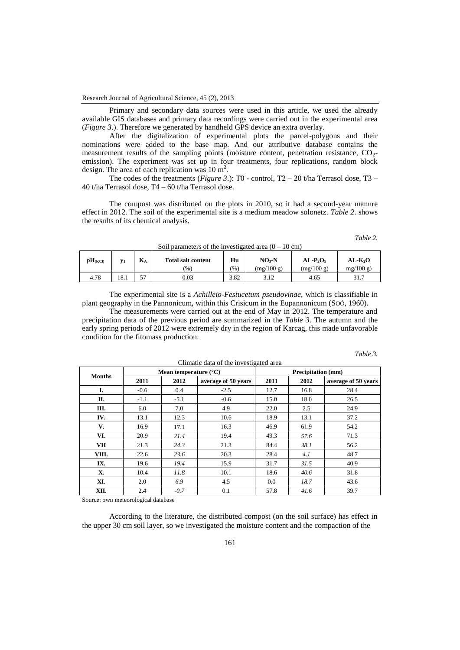Research Journal of Agricultural Science, 45 (2), 2013

Primary and secondary data sources were used in this article, we used the already available GIS databases and primary data recordings were carried out in the experimental area (*Figure 3*.). Therefore we generated by handheld GPS device an extra overlay.

After the digitalization of experimental plots the parcel-polygons and their nominations were added to the base map. And our attributive database contains the measurement results of the sampling points (moisture content, penetration resistance,  $CO<sub>2</sub>$ emission). The experiment was set up in four treatments, four replications, random block design. The area of each replication was  $10 \text{ m}^2$ .

The codes of the treatments (*Figure 3*.): T0 - control, T2 – 20 t/ha Terrasol dose, T3 – 40 t/ha Terrasol dose, T4 – 60 t/ha Terrasol dose.

The compost was distributed on the plots in 2010, so it had a second-year manure effect in 2012. The soil of the experimental site is a medium meadow solonetz. *Table 2*. shows the results of its chemical analysis.

*Table 2.*

| $\mathbf{p}$ $\mathbf{H}_{(KCl)}$ | $y_1$ | T<br><b>Total salt content</b><br><b>D</b> <sub>A</sub> |               | Hu   | $NO3-N$    | $AL-P2O5$  | $AL-K2O$ |  |
|-----------------------------------|-------|---------------------------------------------------------|---------------|------|------------|------------|----------|--|
|                                   |       |                                                         | $\frac{9}{6}$ | (96) | (mg/100 g) | (mg/100 g) | mg/100 g |  |
| 4.78                              | 18.1  | 57                                                      | 0.03          | 3.82 | 3.12       | 4.65       | 31.7     |  |

 $\text{Soil normators of the investigated area } (0, 10 \text{ cm})$ 

The experimental site is a *Achilleio-Festucetum pseudovinae,* which is classifiable in plant geography in the Pannonicum, within this Crisicum in the Eupannonicum (SOÓ, 1960).

The measurements were carried out at the end of May in 2012. The temperature and precipitation data of the previous period are summarized in the *Table 3*. The autumn and the early spring periods of 2012 were extremely dry in the region of Karcag, this made unfavorable condition for the fitomass production.

Climatic data of the investigated area

| Table |  |
|-------|--|
|       |  |

| <b>Months</b> |        | Mean temperature $(^{\circ}C)$ |                     | <b>Precipitation</b> (mm) |      |                     |  |
|---------------|--------|--------------------------------|---------------------|---------------------------|------|---------------------|--|
|               | 2011   | 2012                           | average of 50 years | 2011                      | 2012 | average of 50 years |  |
| I.            | $-0.6$ | 0.4                            | $-2.5$              | 12.7                      | 16.8 | 28.4                |  |
| П.            | $-1.1$ | $-5.1$                         | $-0.6$              | 15.0                      | 18.0 | 26.5                |  |
| Ш.            | 6.0    | 7.0                            | 4.9                 | 22.0                      | 2.5  | 24.9                |  |
| IV.           | 13.1   | 12.3                           | 10.6                | 18.9                      | 13.1 | 37.2                |  |
| V.            | 16.9   | 17.1                           | 16.3                | 46.9                      | 61.9 | 54.2                |  |
| VI.           | 20.9   | 21.4                           | 19.4                | 49.3                      | 57.6 | 71.3                |  |
| <b>VII</b>    | 21.3   | 24.3                           | 21.3                | 84.4                      | 38.1 | 56.2                |  |
| VIII.         | 22.6   | 23.6                           | 20.3                | 28.4                      | 4.1  | 48.7                |  |
| IX.           | 19.6   | 19.4                           | 15.9                | 31.7                      | 31.5 | 40.9                |  |
| X.            | 10.4   | 11.8                           | 10.1                | 18.6                      | 40.6 | 31.8                |  |
| XI.           | 2.0    | 6.9                            | 4.5                 | 0.0                       | 18.7 | 43.6                |  |
| XII.          | 2.4    | $-0.7$                         | 0.1                 | 57.8                      | 41.6 | 39.7                |  |

Source: own meteorological database

According to the literature, the distributed compost (on the soil surface) has effect in the upper 30 cm soil layer, so we investigated the moisture content and the compaction of the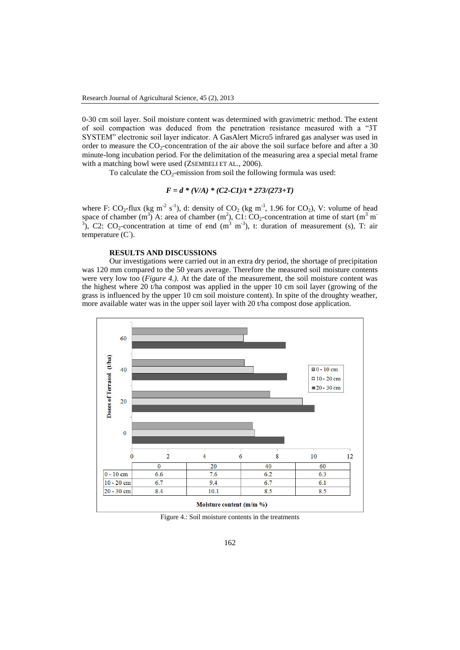0-30 cm soil layer. Soil moisture content was determined with gravimetric method. The extent of soil compaction was deduced from the penetration resistance measured with a "3T SYSTEM" electronic soil layer indicator. A GasAlert Micro5 infrared gas analyser was used in order to measure the  $CO_2$ -concentration of the air above the soil surface before and after a 30 minute-long incubation period. For the delimitation of the measuring area a special metal frame with a matching bowl were used (ZSEMBELI ET AL., 2006).

To calculate the  $CO_2$ -emission from soil the following formula was used:

$$
F = d * (V/A) * (C2-C1)/t * 273/(273+T)
$$

where F:  $CO_2$ -flux (kg m<sup>-2</sup> s<sup>-1</sup>), d: density of  $CO_2$  (kg m<sup>-3</sup>, 1.96 for  $CO_2$ ), V: volume of head space of chamber (m<sup>3</sup>) A: area of chamber (m<sup>2</sup>), C1: CO<sub>2</sub>-concentration at time of start (m<sup>3</sup> m<sup>-</sup> <sup>3</sup>), C2: CO<sub>2</sub>-concentration at time of end  $(m^3 \, m^3)$ , t: duration of measurement (s), T: air temperature  $(C^{\circ})$ .

# **RESULTS AND DISCUSSIONS**

Our investigations were carried out in an extra dry period, the shortage of precipitation was 120 mm compared to the 50 years average. Therefore the measured soil moisture contents were very low too (*Figure 4.).* At the date of the measurement, the soil moisture content was the highest where 20 t/ha compost was applied in the upper 10 cm soil layer (growing of the grass is influenced by the upper 10 cm soil moisture content). In spite of the droughty weather, more available water was in the upper soil layer with 20 t/ha compost dose application.



Figure 4.: Soil moisture contents in the treatments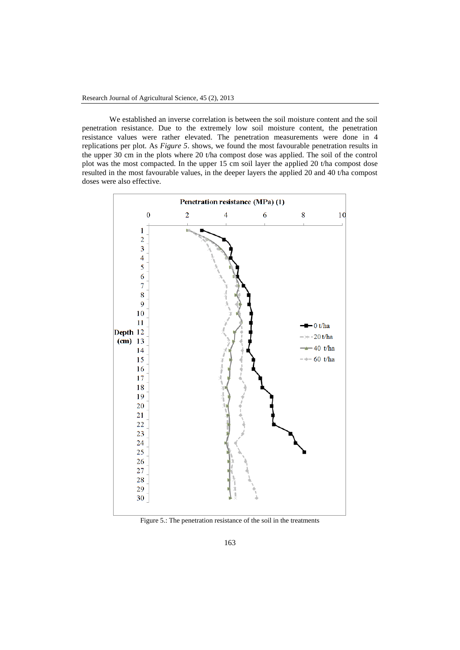We established an inverse correlation is between the soil moisture content and the soil penetration resistance. Due to the extremely low soil moisture content, the penetration resistance values were rather elevated. The penetration measurements were done in 4 replications per plot. As *Figure 5*. shows, we found the most favourable penetration results in the upper 30 cm in the plots where 20 t/ha compost dose was applied. The soil of the control plot was the most compacted. In the upper 15 cm soil layer the applied 20 t/ha compost dose resulted in the most favourable values, in the deeper layers the applied 20 and 40 t/ha compost doses were also effective.



Figure 5.: The penetration resistance of the soil in the treatments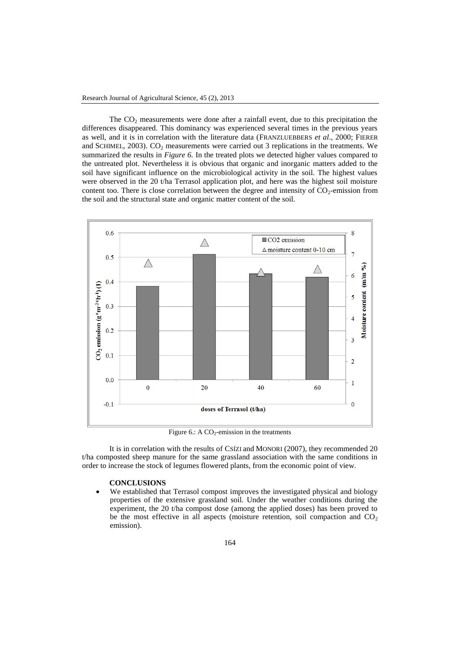The  $CO<sub>2</sub>$  measurements were done after a rainfall event, due to this precipitation the differences disappeared. This dominancy was experienced several times in the previous years as well, and it is in correlation with the literature data (FRANZLUEBBERS *et al*., 2000; FIERER and SCHIMEL, 2003).  $CO<sub>2</sub>$  measurements were carried out 3 replications in the treatments. We summarized the results in *Figure 6.* In the treated plots we detected higher values compared to the untreated plot. Nevertheless it is obvious that organic and inorganic matters added to the soil have significant influence on the microbiological activity in the soil. The highest values were observed in the 20 t/ha Terrasol application plot, and here was the highest soil moisture content too. There is close correlation between the degree and intensity of  $CO<sub>2</sub>$ -emission from the soil and the structural state and organic matter content of the soil.



Figure 6.: A  $CO_2$ -emission in the treatments

It is in correlation with the results of CSÍZI and MONORI (2007), they recommended 20 t/ha composted sheep manure for the same grassland association with the same conditions in order to increase the stock of legumes flowered plants, from the economic point of view.

## **CONCLUSIONS**

 We established that Terrasol compost improves the investigated physical and biology properties of the extensive grassland soil. Under the weather conditions during the experiment, the 20 t/ha compost dose (among the applied doses) has been proved to be the most effective in all aspects (moisture retention, soil compaction and  $CO<sub>2</sub>$ emission).